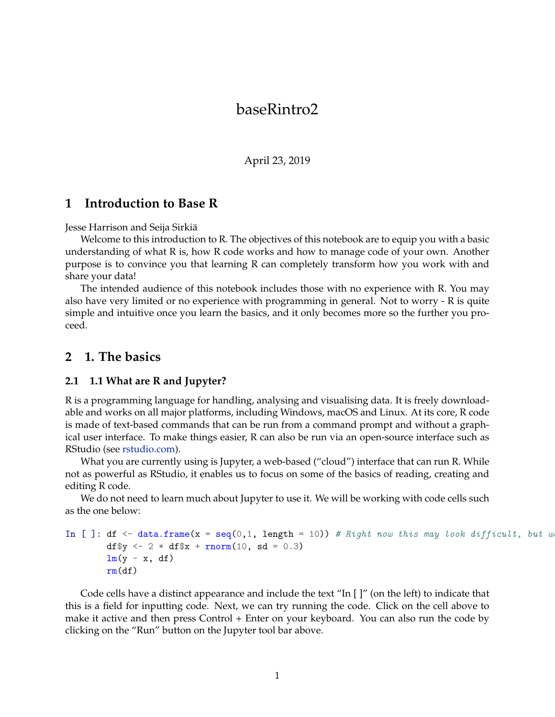# baseRintro2

April 23, 2019

### **1 Introduction to Base R**

#### Jesse Harrison and Seija Sirkiä

Welcome to this introduction to R. The objectives of this notebook are to equip you with a basic understanding of what R is, how R code works and how to manage code of your own. Another purpose is to convince you that learning R can completely transform how you work with and share your data!

The intended audience of this notebook includes those with no experience with R. You may also have very limited or no experience with programming in general. Not to worry - R is quite simple and intuitive once you learn the basics, and it only becomes more so the further you proceed.

### **2 1. The basics**

#### **2.1 1.1 What are R and Jupyter?**

R is a programming language for handling, analysing and visualising data. It is freely downloadable and works on all major platforms, including Windows, macOS and Linux. At its core, R code is made of text-based commands that can be run from a command prompt and without a graphical user interface. To make things easier, R can also be run via an open-source interface such as RStudio (see [rstudio.com](http://www.rstudio.com)).

What you are currently using is Jupyter, a web-based ("cloud") interface that can run R. While not as powerful as RStudio, it enables us to focus on some of the basics of reading, creating and editing R code.

We do not need to learn much about Jupyter to use it. We will be working with code cells such as the one below:

```
In [ ]: df \leq data.frame(x = seq(0,1, length = 10)) # Right now this may look difficult, but w
        df y \leftarrow 2 * df \ x + rnorm(10, sd = 0.3)lm(y \sim x, df)rm(df)
```
Code cells have a distinct appearance and include the text "In [ ]" (on the left) to indicate that this is a field for inputting code. Next, we can try running the code. Click on the cell above to make it active and then press Control + Enter on your keyboard. You can also run the code by clicking on the "Run" button on the Jupyter tool bar above.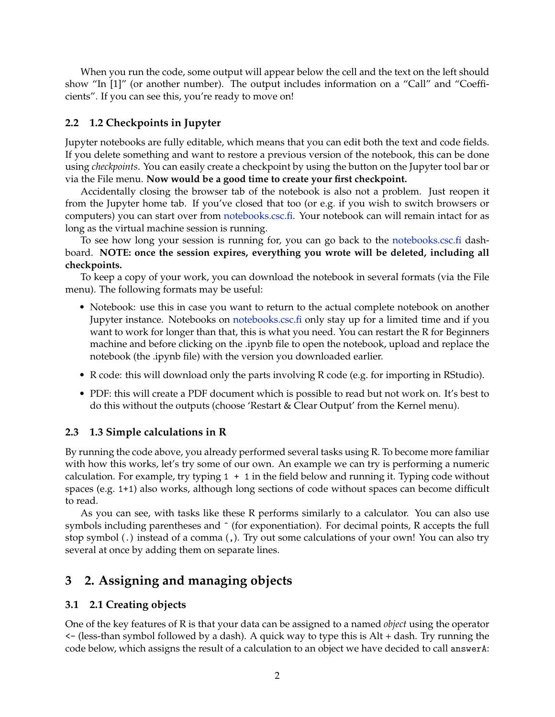When you run the code, some output will appear below the cell and the text on the left should show "In [1]" (or another number). The output includes information on a "Call" and "Coefficients". If you can see this, you're ready to move on!

# **2.2 1.2 Checkpoints in Jupyter**

Jupyter notebooks are fully editable, which means that you can edit both the text and code fields. If you delete something and want to restore a previous version of the notebook, this can be done using *checkpoints*. You can easily create a checkpoint by using the button on the Jupyter tool bar or via the File menu. **Now would be a good time to create your first checkpoint.**

Accidentally closing the browser tab of the notebook is also not a problem. Just reopen it from the Jupyter home tab. If you've closed that too (or e.g. if you wish to switch browsers or computers) you can start over from [notebooks.csc.fi](https://notebooks.csc.fi). Your notebook can will remain intact for as long as the virtual machine session is running.

To see how long your session is running for, you can go back to the [notebooks.csc.fi](https://notebooks.csc.fi) dashboard. **NOTE: once the session expires, everything you wrote will be deleted, including all checkpoints.**

To keep a copy of your work, you can download the notebook in several formats (via the File menu). The following formats may be useful:

- Notebook: use this in case you want to return to the actual complete notebook on another Jupyter instance. Notebooks on [notebooks.csc.fi](https://notebooks.csc.fi) only stay up for a limited time and if you want to work for longer than that, this is what you need. You can restart the R for Beginners machine and before clicking on the .ipynb file to open the notebook, upload and replace the notebook (the .ipynb file) with the version you downloaded earlier.
- R code: this will download only the parts involving R code (e.g. for importing in RStudio).
- PDF: this will create a PDF document which is possible to read but not work on. It's best to do this without the outputs (choose 'Restart & Clear Output' from the Kernel menu).

## **2.3 1.3 Simple calculations in R**

By running the code above, you already performed several tasks using R. To become more familiar with how this works, let's try some of our own. An example we can try is performing a numeric calculation. For example, try typing  $1 + 1$  in the field below and running it. Typing code without spaces (e.g. 1+1) also works, although long sections of code without spaces can become difficult to read.

As you can see, with tasks like these R performs similarly to a calculator. You can also use symbols including parentheses and  $\hat{ }$  (for exponentiation). For decimal points, R accepts the full stop symbol (.) instead of a comma (,). Try out some calculations of your own! You can also try several at once by adding them on separate lines.

# **3 2. Assigning and managing objects**

# **3.1 2.1 Creating objects**

One of the key features of R is that your data can be assigned to a named *object* using the operator <- (less-than symbol followed by a dash). A quick way to type this is Alt + dash. Try running the code below, which assigns the result of a calculation to an object we have decided to call answerA: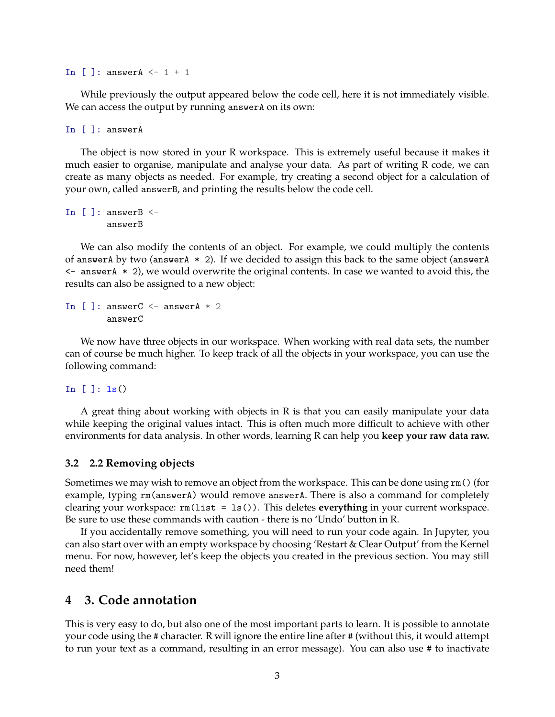In  $[$  ]: answerA  $\leq -1 + 1$ 

While previously the output appeared below the code cell, here it is not immediately visible. We can access the output by running answerA on its own:

In [ ]: answerA

The object is now stored in your R workspace. This is extremely useful because it makes it much easier to organise, manipulate and analyse your data. As part of writing R code, we can create as many objects as needed. For example, try creating a second object for a calculation of your own, called answerB, and printing the results below the code cell.

In  $[ ]:$  answerB  $<-$ answerB

We can also modify the contents of an object. For example, we could multiply the contents of answerA by two (answerA  $*$  2). If we decided to assign this back to the same object (answerA  $\leq$  answerA  $*$  2), we would overwrite the original contents. In case we wanted to avoid this, the results can also be assigned to a new object:

In [ ]: answerC  $\leq$  answerA  $*$  2 answerC

We now have three objects in our workspace. When working with real data sets, the number can of course be much higher. To keep track of all the objects in your workspace, you can use the following command:

In  $[ ]: 1s()$ 

A great thing about working with objects in R is that you can easily manipulate your data while keeping the original values intact. This is often much more difficult to achieve with other environments for data analysis. In other words, learning R can help you **keep your raw data raw.**

#### **3.2 2.2 Removing objects**

Sometimes we may wish to remove an object from the workspace. This can be done using rm() (for example, typing rm(answerA) would remove answerA. There is also a command for completely clearing your workspace: rm(list = ls()). This deletes **everything** in your current workspace. Be sure to use these commands with caution - there is no 'Undo' button in R.

If you accidentally remove something, you will need to run your code again. In Jupyter, you can also start over with an empty workspace by choosing 'Restart & Clear Output' from the Kernel menu. For now, however, let's keep the objects you created in the previous section. You may still need them!

### **4 3. Code annotation**

This is very easy to do, but also one of the most important parts to learn. It is possible to annotate your code using the # character. R will ignore the entire line after # (without this, it would attempt to run your text as a command, resulting in an error message). You can also use # to inactivate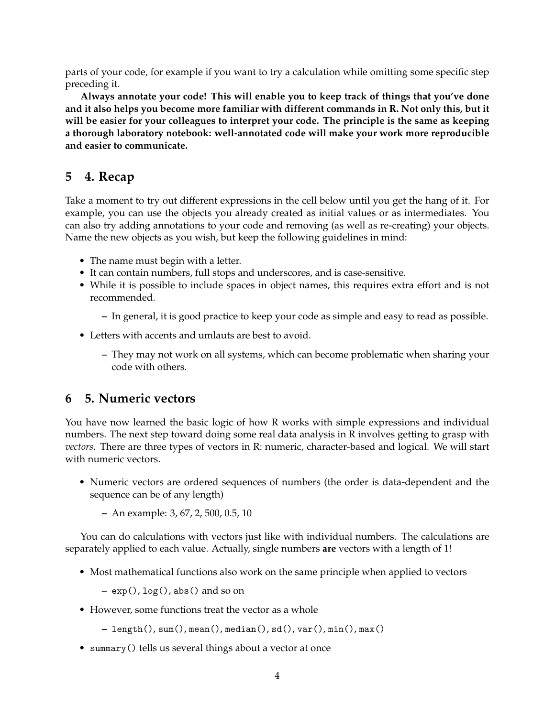parts of your code, for example if you want to try a calculation while omitting some specific step preceding it.

**Always annotate your code! This will enable you to keep track of things that you've done and it also helps you become more familiar with different commands in R. Not only this, but it will be easier for your colleagues to interpret your code. The principle is the same as keeping a thorough laboratory notebook: well-annotated code will make your work more reproducible and easier to communicate.**

# **5 4. Recap**

Take a moment to try out different expressions in the cell below until you get the hang of it. For example, you can use the objects you already created as initial values or as intermediates. You can also try adding annotations to your code and removing (as well as re-creating) your objects. Name the new objects as you wish, but keep the following guidelines in mind:

- The name must begin with a letter.
- It can contain numbers, full stops and underscores, and is case-sensitive.
- While it is possible to include spaces in object names, this requires extra effort and is not recommended.
	- **–** In general, it is good practice to keep your code as simple and easy to read as possible.
- Letters with accents and umlauts are best to avoid.
	- **–** They may not work on all systems, which can become problematic when sharing your code with others.

## **6 5. Numeric vectors**

You have now learned the basic logic of how R works with simple expressions and individual numbers. The next step toward doing some real data analysis in R involves getting to grasp with *vectors*. There are three types of vectors in R: numeric, character-based and logical. We will start with numeric vectors.

- Numeric vectors are ordered sequences of numbers (the order is data-dependent and the sequence can be of any length)
	- **–** An example: 3, 67, 2, 500, 0.5, 10

You can do calculations with vectors just like with individual numbers. The calculations are separately applied to each value. Actually, single numbers **are** vectors with a length of 1!

• Most mathematical functions also work on the same principle when applied to vectors

**–** exp(), log(), abs() and so on

• However, some functions treat the vector as a whole

**–** length(), sum(), mean(), median(), sd(), var(), min(), max()

• summary() tells us several things about a vector at once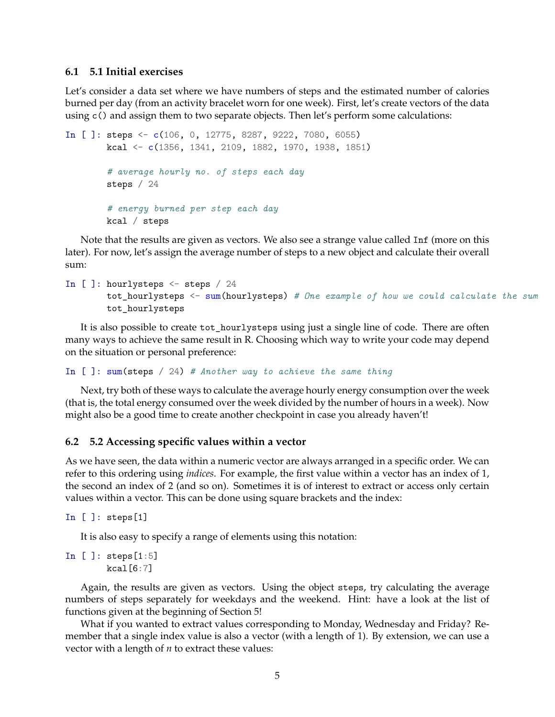#### **6.1 5.1 Initial exercises**

Let's consider a data set where we have numbers of steps and the estimated number of calories burned per day (from an activity bracelet worn for one week). First, let's create vectors of the data using c() and assign them to two separate objects. Then let's perform some calculations:

```
In [ ]: steps <- c(106, 0, 12775, 8287, 9222, 7080, 6055)
        kcal <- c(1356, 1341, 2109, 1882, 1970, 1938, 1851)
        # average hourly no. of steps each day
        steps / 24
        # energy burned per step each day
        kcal / steps
```
Note that the results are given as vectors. We also see a strange value called Inf (more on this later). For now, let's assign the average number of steps to a new object and calculate their overall sum:

```
In [ ]: hourlysteps <- steps / 24
        tot_hourlysteps <- sum(hourlysteps) # One example of how we could calculate the sum
        tot_hourlysteps
```
It is also possible to create tot\_hourlysteps using just a single line of code. There are often many ways to achieve the same result in R. Choosing which way to write your code may depend on the situation or personal preference:

In [ ]: sum(steps / 24) *# Another way to achieve the same thing*

Next, try both of these ways to calculate the average hourly energy consumption over the week (that is, the total energy consumed over the week divided by the number of hours in a week). Now might also be a good time to create another checkpoint in case you already haven't!

#### **6.2 5.2 Accessing specific values within a vector**

As we have seen, the data within a numeric vector are always arranged in a specific order. We can refer to this ordering using *indices*. For example, the first value within a vector has an index of 1, the second an index of 2 (and so on). Sometimes it is of interest to extract or access only certain values within a vector. This can be done using square brackets and the index:

In [ ]: steps[1]

It is also easy to specify a range of elements using this notation:

In [ ]: steps[1:5] kcal[6:7]

Again, the results are given as vectors. Using the object steps, try calculating the average numbers of steps separately for weekdays and the weekend. Hint: have a look at the list of functions given at the beginning of Section 5!

What if you wanted to extract values corresponding to Monday, Wednesday and Friday? Remember that a single index value is also a vector (with a length of 1). By extension, we can use a vector with a length of *n* to extract these values: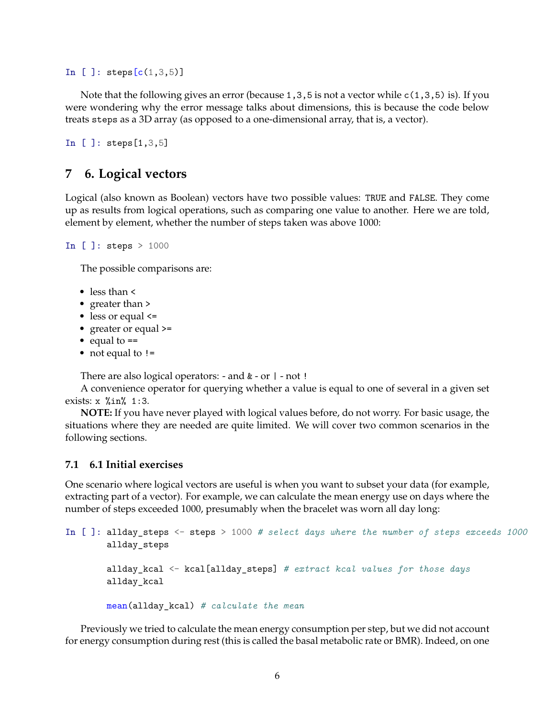In [ ]:  $steps[c(1, 3, 5)]$ 

Note that the following gives an error (because 1, 3, 5 is not a vector while  $c(1,3,5)$  is). If you were wondering why the error message talks about dimensions, this is because the code below treats steps as a 3D array (as opposed to a one-dimensional array, that is, a vector).

```
In [ ]: steps[1,3,5]
```
### **7 6. Logical vectors**

Logical (also known as Boolean) vectors have two possible values: TRUE and FALSE. They come up as results from logical operations, such as comparing one value to another. Here we are told, element by element, whether the number of steps taken was above 1000:

```
In [ ]: steps > 1000
```
The possible comparisons are:

- less than <
- greater than >
- less or equal <=
- greater or equal >=
- equal to ==
- not equal to !=

There are also logical operators: - and & - or | - not !

A convenience operator for querying whether a value is equal to one of several in a given set exists: x %in% 1:3.

**NOTE:** If you have never played with logical values before, do not worry. For basic usage, the situations where they are needed are quite limited. We will cover two common scenarios in the following sections.

#### **7.1 6.1 Initial exercises**

One scenario where logical vectors are useful is when you want to subset your data (for example, extracting part of a vector). For example, we can calculate the mean energy use on days where the number of steps exceeded 1000, presumably when the bracelet was worn all day long:

```
In [ ]: allday_steps <- steps > 1000 # select days where the number of steps exceeds 1000
        allday_steps
        allday_kcal <- kcal[allday_steps] # extract kcal values for those days
        allday_kcal
        mean(allday_kcal) # calculate the mean
```
Previously we tried to calculate the mean energy consumption per step, but we did not account for energy consumption during rest (this is called the basal metabolic rate or BMR). Indeed, on one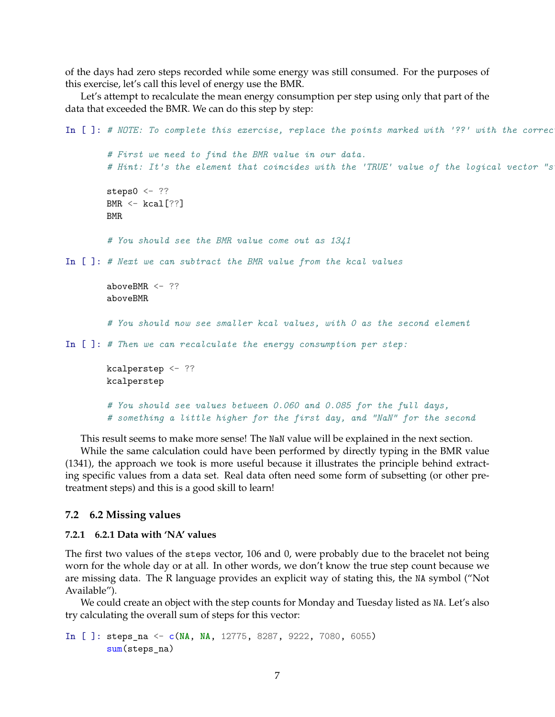of the days had zero steps recorded while some energy was still consumed. For the purposes of this exercise, let's call this level of energy use the BMR.

Let's attempt to recalculate the mean energy consumption per step using only that part of the data that exceeded the BMR. We can do this step by step:

```
In [ ]: # NOTE: To complete this exercise, replace the points marked with '??' with the correc
        # First we need to find the BMR value in our data.
        # Hint: It's the element that coincides with the 'TRUE' value of the logical vector "steps is equal to 0":
        steps0 \le - ??
        BMR \leq kcal[??]
        BMR
        # You should see the BMR value come out as 1341
In [ ]: # Next we can subtract the BMR value from the kcal values
        aboveBMR <- ??
        aboveBMR
        # You should now see smaller kcal values, with 0 as the second element
In [ ]: # Then we can recalculate the energy consumption per step:
        kcalperstep <- ??
        kcalperstep
        # You should see values between 0.060 and 0.085 for the full days,
        # something a little higher for the first day, and "NaN" for the second
```
This result seems to make more sense! The NaN value will be explained in the next section.

While the same calculation could have been performed by directly typing in the BMR value (1341), the approach we took is more useful because it illustrates the principle behind extracting specific values from a data set. Real data often need some form of subsetting (or other pretreatment steps) and this is a good skill to learn!

#### **7.2 6.2 Missing values**

#### **7.2.1 6.2.1 Data with 'NA' values**

The first two values of the steps vector, 106 and 0, were probably due to the bracelet not being worn for the whole day or at all. In other words, we don't know the true step count because we are missing data. The R language provides an explicit way of stating this, the NA symbol ("Not Available").

We could create an object with the step counts for Monday and Tuesday listed as NA. Let's also try calculating the overall sum of steps for this vector:

```
In [ ]: steps_na <- c(NA, NA, 12775, 8287, 9222, 7080, 6055)
        sum(steps_na)
```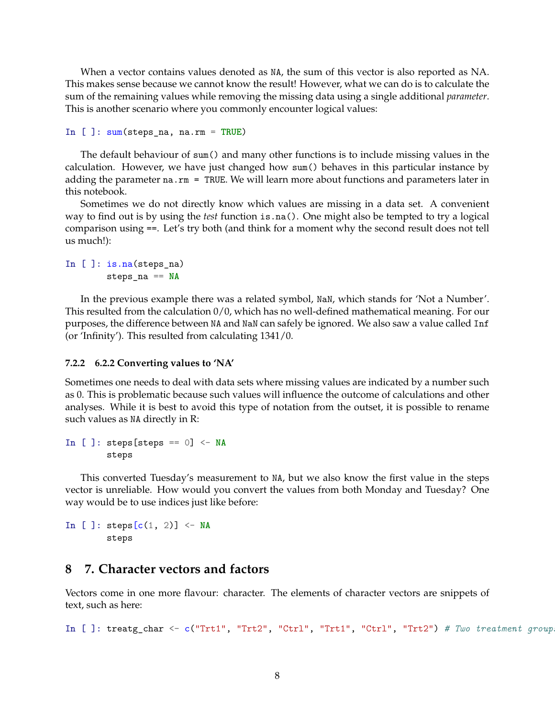When a vector contains values denoted as NA, the sum of this vector is also reported as NA. This makes sense because we cannot know the result! However, what we can do is to calculate the sum of the remaining values while removing the missing data using a single additional *parameter*. This is another scenario where you commonly encounter logical values:

```
In [ ]: sum(steps_na, na.rm = TRUE)
```
The default behaviour of sum() and many other functions is to include missing values in the calculation. However, we have just changed how sum() behaves in this particular instance by adding the parameter na.rm = TRUE. We will learn more about functions and parameters later in this notebook.

Sometimes we do not directly know which values are missing in a data set. A convenient way to find out is by using the *test* function is.na(). One might also be tempted to try a logical comparison using ==. Let's try both (and think for a moment why the second result does not tell us much!):

```
In [ ]: is.na(steps_na)
        steps_na == NA
```
In the previous example there was a related symbol, NaN, which stands for 'Not a Number'. This resulted from the calculation 0/0, which has no well-defined mathematical meaning. For our purposes, the difference between NA and NaN can safely be ignored. We also saw a value called Inf (or 'Infinity'). This resulted from calculating 1341/0.

#### **7.2.2 6.2.2 Converting values to 'NA'**

Sometimes one needs to deal with data sets where missing values are indicated by a number such as 0. This is problematic because such values will influence the outcome of calculations and other analyses. While it is best to avoid this type of notation from the outset, it is possible to rename such values as NA directly in R:

In [ ]: steps[steps == 0] <- **NA** steps

This converted Tuesday's measurement to NA, but we also know the first value in the steps vector is unreliable. How would you convert the values from both Monday and Tuesday? One way would be to use indices just like before:

In [ ]: steps $[c(1, 2)]$  <- NA steps

# **8 7. Character vectors and factors**

Vectors come in one more flavour: character. The elements of character vectors are snippets of text, such as here:

In [ ]: treatg\_char <- c("Trt1", "Trt2", "Ctrl", "Trt1", "Ctrl", "Trt2") # Two treatment group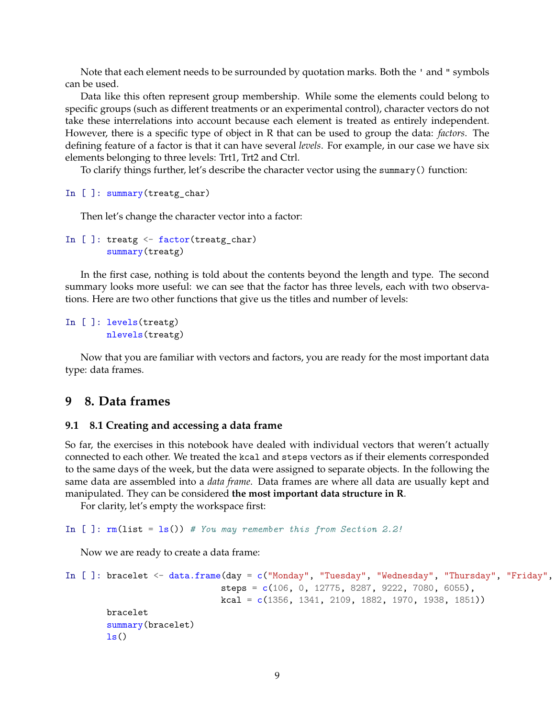Note that each element needs to be surrounded by quotation marks. Both the ' and " symbols can be used.

Data like this often represent group membership. While some the elements could belong to specific groups (such as different treatments or an experimental control), character vectors do not take these interrelations into account because each element is treated as entirely independent. However, there is a specific type of object in R that can be used to group the data: *factors*. The defining feature of a factor is that it can have several *levels*. For example, in our case we have six elements belonging to three levels: Trt1, Trt2 and Ctrl.

To clarify things further, let's describe the character vector using the summary() function:

```
In [ ]: summary(treatg_char)
```
Then let's change the character vector into a factor:

```
In [ ]: treatg \leq factor(treatg_char)
        summary(treatg)
```
In the first case, nothing is told about the contents beyond the length and type. The second summary looks more useful: we can see that the factor has three levels, each with two observations. Here are two other functions that give us the titles and number of levels:

```
In [ ]: levels(treatg)
        nlevels(treatg)
```
Now that you are familiar with vectors and factors, you are ready for the most important data type: data frames.

# **9 8. Data frames**

#### **9.1 8.1 Creating and accessing a data frame**

So far, the exercises in this notebook have dealed with individual vectors that weren't actually connected to each other. We treated the kcal and steps vectors as if their elements corresponded to the same days of the week, but the data were assigned to separate objects. In the following the same data are assembled into a *data frame*. Data frames are where all data are usually kept and manipulated. They can be considered **the most important data structure in R**.

For clarity, let's empty the workspace first:

```
In [ ]: rm(list = ls()) # You may remember this from Section 2.2!
```
Now we are ready to create a data frame:

```
In [ ]: bracelet <- data.frame(day = c("Monday", "Tuesday", "Wednesday", "Thursday", "Friday",
                              steps = c(106, 0, 12775, 8287, 9222, 7080, 6055),
                              kcal = c(1356, 1341, 2109, 1882, 1970, 1938, 1851))bracelet
        summary(bracelet)
        ls()
```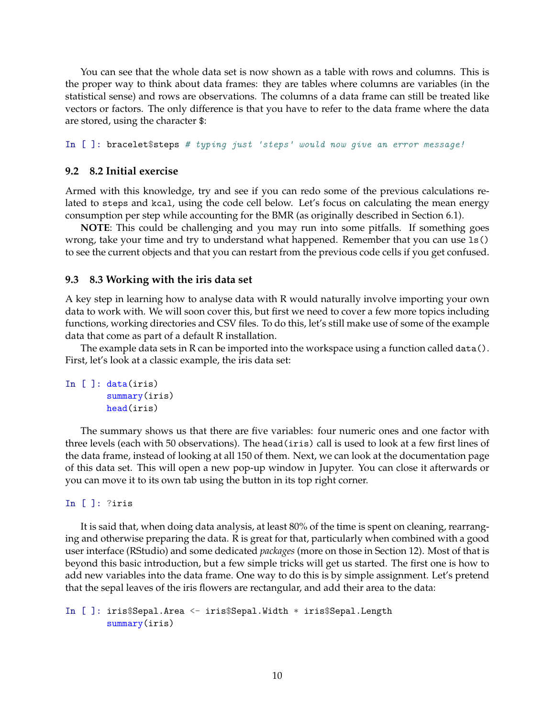You can see that the whole data set is now shown as a table with rows and columns. This is the proper way to think about data frames: they are tables where columns are variables (in the statistical sense) and rows are observations. The columns of a data frame can still be treated like vectors or factors. The only difference is that you have to refer to the data frame where the data are stored, using the character \$:

In [ ]: bracelet\$steps *# typing just 'steps' would now give an error message!*

#### **9.2 8.2 Initial exercise**

Armed with this knowledge, try and see if you can redo some of the previous calculations related to steps and kcal, using the code cell below. Let's focus on calculating the mean energy consumption per step while accounting for the BMR (as originally described in Section 6.1).

**NOTE**: This could be challenging and you may run into some pitfalls. If something goes wrong, take your time and try to understand what happened. Remember that you can use ls() to see the current objects and that you can restart from the previous code cells if you get confused.

#### **9.3 8.3 Working with the iris data set**

A key step in learning how to analyse data with R would naturally involve importing your own data to work with. We will soon cover this, but first we need to cover a few more topics including functions, working directories and CSV files. To do this, let's still make use of some of the example data that come as part of a default R installation.

The example data sets in R can be imported into the workspace using a function called data(). First, let's look at a classic example, the iris data set:

```
In [ ]: data(iris)
        summary(iris)
        head(iris)
```
The summary shows us that there are five variables: four numeric ones and one factor with three levels (each with 50 observations). The head(iris) call is used to look at a few first lines of the data frame, instead of looking at all 150 of them. Next, we can look at the documentation page of this data set. This will open a new pop-up window in Jupyter. You can close it afterwards or you can move it to its own tab using the button in its top right corner.

In [ ]: ?iris

It is said that, when doing data analysis, at least 80% of the time is spent on cleaning, rearranging and otherwise preparing the data. R is great for that, particularly when combined with a good user interface (RStudio) and some dedicated *packages* (more on those in Section 12). Most of that is beyond this basic introduction, but a few simple tricks will get us started. The first one is how to add new variables into the data frame. One way to do this is by simple assignment. Let's pretend that the sepal leaves of the iris flowers are rectangular, and add their area to the data:

In [ ]: iris\$Sepal.Area <- iris\$Sepal.Width \* iris\$Sepal.Length summary(iris)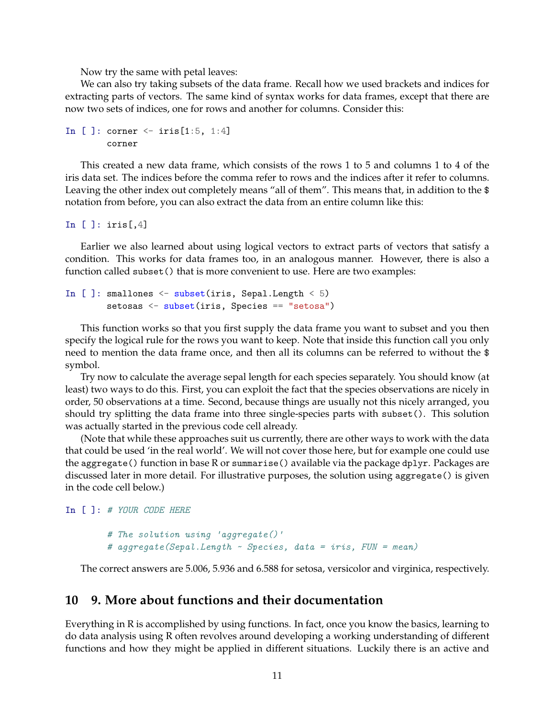Now try the same with petal leaves:

We can also try taking subsets of the data frame. Recall how we used brackets and indices for extracting parts of vectors. The same kind of syntax works for data frames, except that there are now two sets of indices, one for rows and another for columns. Consider this:

```
In [ ]: corner \le iris [1:5, 1:4]
        corner
```
This created a new data frame, which consists of the rows 1 to 5 and columns 1 to 4 of the iris data set. The indices before the comma refer to rows and the indices after it refer to columns. Leaving the other index out completely means "all of them". This means that, in addition to the \$ notation from before, you can also extract the data from an entire column like this:

In  $[ ]:$  iris $[ ,4]$ 

Earlier we also learned about using logical vectors to extract parts of vectors that satisfy a condition. This works for data frames too, in an analogous manner. However, there is also a function called subset () that is more convenient to use. Here are two examples:

```
In [ ]: smallones \leq subset(iris, Sepal.Length \leq 5)
        setosas <- subset(iris, Species == "setosa")
```
This function works so that you first supply the data frame you want to subset and you then specify the logical rule for the rows you want to keep. Note that inside this function call you only need to mention the data frame once, and then all its columns can be referred to without the \$ symbol.

Try now to calculate the average sepal length for each species separately. You should know (at least) two ways to do this. First, you can exploit the fact that the species observations are nicely in order, 50 observations at a time. Second, because things are usually not this nicely arranged, you should try splitting the data frame into three single-species parts with subset(). This solution was actually started in the previous code cell already.

(Note that while these approaches suit us currently, there are other ways to work with the data that could be used 'in the real world'. We will not cover those here, but for example one could use the aggregate() function in base R or summarise() available via the package dplyr. Packages are discussed later in more detail. For illustrative purposes, the solution using aggregate() is given in the code cell below.)

In [ ]: *# YOUR CODE HERE*

```
# The solution using 'aggregate()'
# aggregate(Sepal.Length ~ Species, data = iris, FUN = mean)
```
The correct answers are 5.006, 5.936 and 6.588 for setosa, versicolor and virginica, respectively.

#### **10 9. More about functions and their documentation**

Everything in R is accomplished by using functions. In fact, once you know the basics, learning to do data analysis using R often revolves around developing a working understanding of different functions and how they might be applied in different situations. Luckily there is an active and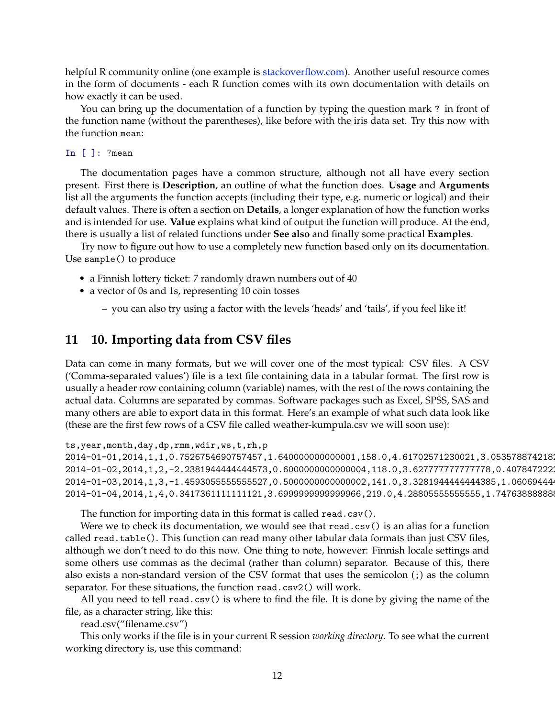helpful R community online (one example is [stackoverflow.com](http://stackoverflow.com/questions/tagged/r)). Another useful resource comes in the form of documents - each R function comes with its own documentation with details on how exactly it can be used.

You can bring up the documentation of a function by typing the question mark ? in front of the function name (without the parentheses), like before with the iris data set. Try this now with the function mean:

#### In [ ]: ?mean

The documentation pages have a common structure, although not all have every section present. First there is **Description**, an outline of what the function does. **Usage** and **Arguments** list all the arguments the function accepts (including their type, e.g. numeric or logical) and their default values. There is often a section on **Details**, a longer explanation of how the function works and is intended for use. **Value** explains what kind of output the function will produce. At the end, there is usually a list of related functions under **See also** and finally some practical **Examples**.

Try now to figure out how to use a completely new function based only on its documentation. Use sample() to produce

- a Finnish lottery ticket: 7 randomly drawn numbers out of 40
- a vector of 0s and 1s, representing 10 coin tosses
	- **–** you can also try using a factor with the levels 'heads' and 'tails', if you feel like it!

# **11 10. Importing data from CSV files**

Data can come in many formats, but we will cover one of the most typical: CSV files. A CSV ('Comma-separated values') file is a text file containing data in a tabular format. The first row is usually a header row containing column (variable) names, with the rest of the rows containing the actual data. Columns are separated by commas. Software packages such as Excel, SPSS, SAS and many others are able to export data in this format. Here's an example of what such data look like (these are the first few rows of a CSV file called weather-kumpula.csv we will soon use):

ts,year,month,day,dp,rmm,wdir,ws,t,rh,p

2014-01-01,2014,1,1,0.7526754690757457,1.640000000000001,158.0,4.61702571230021,3.053578874218 2014-01-02,2014,1,2,-2.238194444444573,0.600000000000004,118.0,3.627777777777778,0.407847222 2014-01-03,2014,1,3,-1.4593055555555527,0.5000000000000002,141.0,3.32819444444444385,1.06069444 2014-01-04,2014,1,4,0.3417361111111121,3.6999999999999966,219.0,4.2880555555555555,1.74763888888

The function for importing data in this format is called read.csv().

Were we to check its documentation, we would see that read.csv() is an alias for a function called read.table(). This function can read many other tabular data formats than just CSV files, although we don't need to do this now. One thing to note, however: Finnish locale settings and some others use commas as the decimal (rather than column) separator. Because of this, there also exists a non-standard version of the CSV format that uses the semicolon (;) as the column separator. For these situations, the function read.csv2() will work.

All you need to tell read.csv() is where to find the file. It is done by giving the name of the file, as a character string, like this:

read.csv("filename.csv")

This only works if the file is in your current R session *working directory*. To see what the current working directory is, use this command: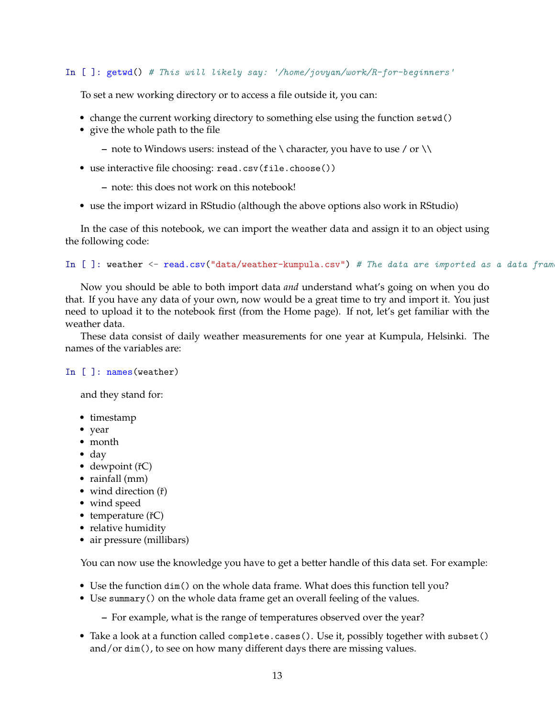In [ ]: getwd() *# This will likely say: '/home/jovyan/work/R-for-beginners'*

To set a new working directory or to access a file outside it, you can:

- change the current working directory to something else using the function setwd()
- give the whole path to the file
	- **–** note to Windows users: instead of the \ character, you have to use / or \\
- use interactive file choosing: read.csv(file.choose())
	- **–** note: this does not work on this notebook!
- use the import wizard in RStudio (although the above options also work in RStudio)

In the case of this notebook, we can import the weather data and assign it to an object using the following code:

```
In [ ]: weather <- read.csv("data/weather-kumpula.csv") # The data are imported as a data frame
```
Now you should be able to both import data *and* understand what's going on when you do that. If you have any data of your own, now would be a great time to try and import it. You just need to upload it to the notebook first (from the Home page). If not, let's get familiar with the weather data.

These data consist of daily weather measurements for one year at Kumpula, Helsinki. The names of the variables are:

#### In [ ]: names (weather)

and they stand for:

- timestamp
- year
- month
- day
- $\bullet$  dewpoint ( $\check{r}$ C)
- rainfall (mm)
- wind direction  $(\check{r})$
- wind speed
- $\bullet$  temperature ( $\check{r}$ C)
- relative humidity
- air pressure (millibars)

You can now use the knowledge you have to get a better handle of this data set. For example:

- Use the function dim() on the whole data frame. What does this function tell you?
- Use summary() on the whole data frame get an overall feeling of the values.
	- **–** For example, what is the range of temperatures observed over the year?
- Take a look at a function called complete.cases(). Use it, possibly together with subset() and/or dim(), to see on how many different days there are missing values.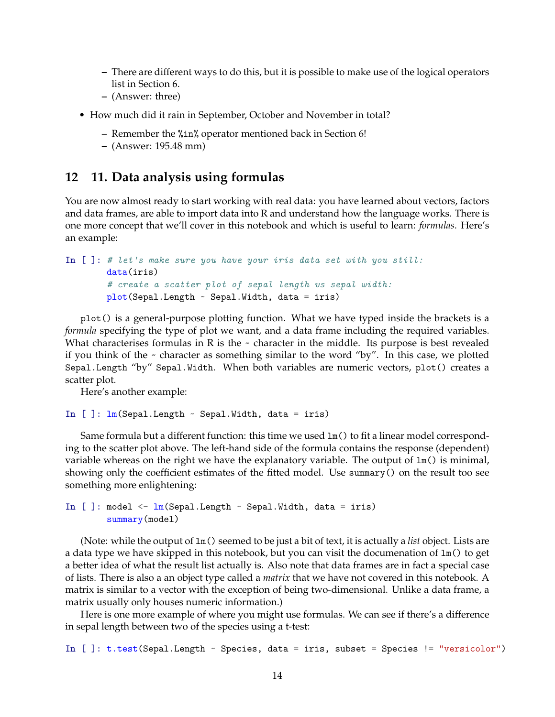- **–** There are different ways to do this, but it is possible to make use of the logical operators list in Section 6.
- **–** (Answer: three)
- How much did it rain in September, October and November in total?
	- **–** Remember the %in% operator mentioned back in Section 6!
	- **–** (Answer: 195.48 mm)

# **12 11. Data analysis using formulas**

You are now almost ready to start working with real data: you have learned about vectors, factors and data frames, are able to import data into R and understand how the language works. There is one more concept that we'll cover in this notebook and which is useful to learn: *formulas*. Here's an example:

```
In [ ]: # let's make sure you have your iris data set with you still:
       data(iris)
        # create a scatter plot of sepal length vs sepal width:
        plot(Sepal.Length ~ Sepal.Width, data = iris)
```
plot() is a general-purpose plotting function. What we have typed inside the brackets is a *formula* specifying the type of plot we want, and a data frame including the required variables. What characterises formulas in R is the  $\sim$  character in the middle. Its purpose is best revealed if you think of the  $\sim$  character as something similar to the word "by". In this case, we plotted Sepal.Length "by" Sepal.Width. When both variables are numeric vectors, plot() creates a scatter plot.

Here's another example:

```
In []: lm(Sepal.Length ~ Sepal.Width, data = iris)
```
Same formula but a different function: this time we used  $lm()$  to fit a linear model corresponding to the scatter plot above. The left-hand side of the formula contains the response (dependent) variable whereas on the right we have the explanatory variable. The output of  $lm()$  is minimal, showing only the coefficient estimates of the fitted model. Use summary() on the result too see something more enlightening:

```
In [ ]: model \leq \ln(Sepal.length \sim Sepal.Width, data = iris)summary(model)
```
(Note: while the output of lm() seemed to be just a bit of text, it is actually a *list* object. Lists are a data type we have skipped in this notebook, but you can visit the documenation of  $lm()$  to get a better idea of what the result list actually is. Also note that data frames are in fact a special case of lists. There is also a an object type called a *matrix* that we have not covered in this notebook. A matrix is similar to a vector with the exception of being two-dimensional. Unlike a data frame, a matrix usually only houses numeric information.)

Here is one more example of where you might use formulas. We can see if there's a difference in sepal length between two of the species using a t-test:

In [ ]: t.test(Sepal.Length ~ Species, data = iris, subset = Species != "versicolor")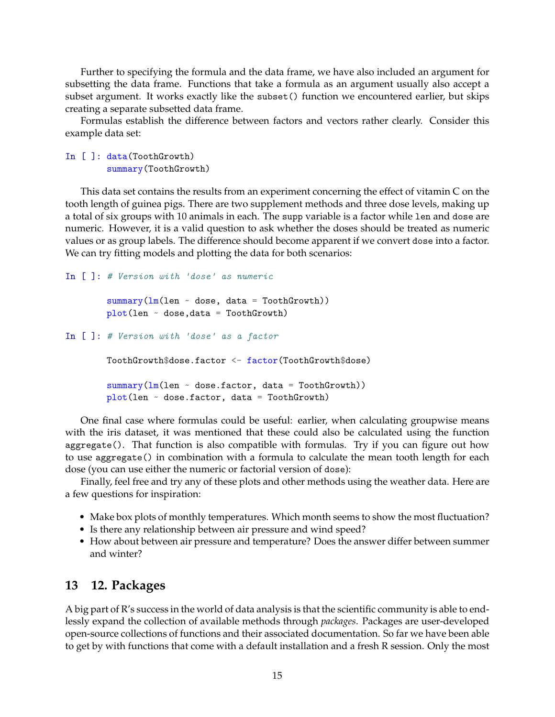Further to specifying the formula and the data frame, we have also included an argument for subsetting the data frame. Functions that take a formula as an argument usually also accept a subset argument. It works exactly like the subset() function we encountered earlier, but skips creating a separate subsetted data frame.

Formulas establish the difference between factors and vectors rather clearly. Consider this example data set:

In [ ]: data(ToothGrowth) summary(ToothGrowth)

This data set contains the results from an experiment concerning the effect of vitamin C on the tooth length of guinea pigs. There are two supplement methods and three dose levels, making up a total of six groups with 10 animals in each. The supp variable is a factor while len and dose are numeric. However, it is a valid question to ask whether the doses should be treated as numeric values or as group labels. The difference should become apparent if we convert dose into a factor. We can try fitting models and plotting the data for both scenarios:

```
In [ ]: # Version with 'dose' as numeric
```

```
summary(lm(len ~ does, data = ToothGrowth))plot(len - dose, data = ToothGrowth)
```

```
In [ ]: # Version with 'dose' as a factor
```

```
ToothGrowth$dose.factor <- factor(ToothGrowth$dose)
summary(lm(len ~ does.factor, data = ToothGrowth))plot(len ~ dose.factor, data = ToothGrowth)
```
One final case where formulas could be useful: earlier, when calculating groupwise means with the iris dataset, it was mentioned that these could also be calculated using the function aggregate(). That function is also compatible with formulas. Try if you can figure out how to use aggregate() in combination with a formula to calculate the mean tooth length for each dose (you can use either the numeric or factorial version of dose):

Finally, feel free and try any of these plots and other methods using the weather data. Here are a few questions for inspiration:

- Make box plots of monthly temperatures. Which month seems to show the most fluctuation?
- Is there any relationship between air pressure and wind speed?
- How about between air pressure and temperature? Does the answer differ between summer and winter?

## **13 12. Packages**

A big part of R's success in the world of data analysis is that the scientific community is able to endlessly expand the collection of available methods through *packages*. Packages are user-developed open-source collections of functions and their associated documentation. So far we have been able to get by with functions that come with a default installation and a fresh R session. Only the most